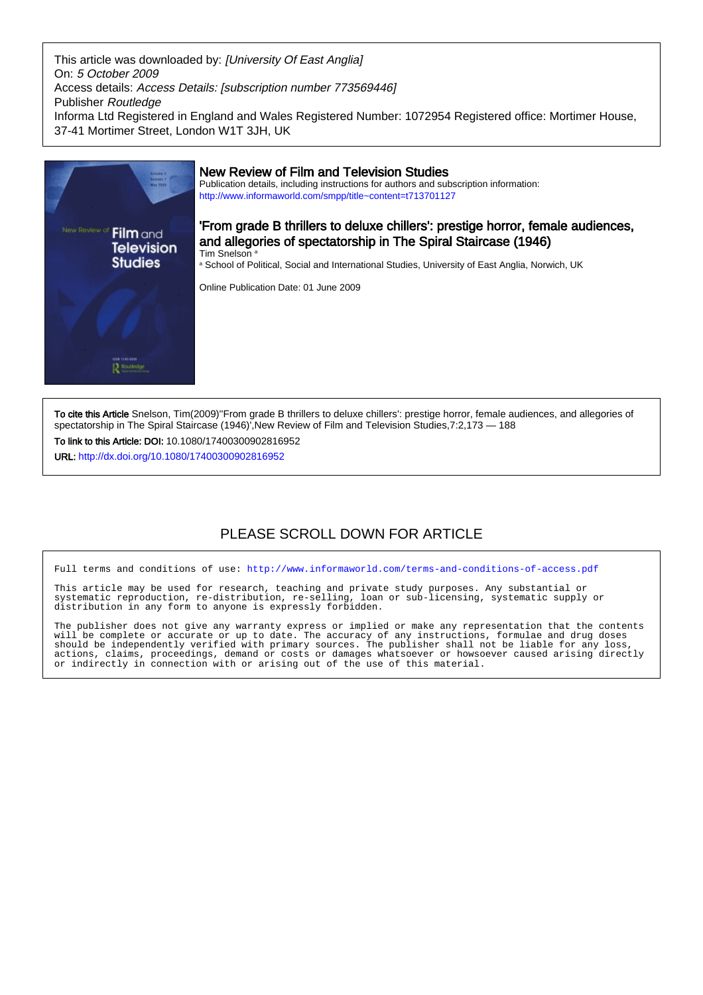This article was downloaded by: [University Of East Anglia] On: 5 October 2009 Access details: Access Details: [subscription number 773569446] Publisher Routledge Informa Ltd Registered in England and Wales Registered Number: 1072954 Registered office: Mortimer House, 37-41 Mortimer Street, London W1T 3JH, UK



To cite this Article Snelson, Tim(2009)''From grade B thrillers to deluxe chillers': prestige horror, female audiences, and allegories of spectatorship in The Spiral Staircase (1946)', New Review of Film and Television Studies, 7:2, 173 - 188

To link to this Article: DOI: 10.1080/17400300902816952

URL: <http://dx.doi.org/10.1080/17400300902816952>

# PLEASE SCROLL DOWN FOR ARTICLE

Full terms and conditions of use:<http://www.informaworld.com/terms-and-conditions-of-access.pdf>

This article may be used for research, teaching and private study purposes. Any substantial or systematic reproduction, re-distribution, re-selling, loan or sub-licensing, systematic supply or distribution in any form to anyone is expressly forbidden.

The publisher does not give any warranty express or implied or make any representation that the contents will be complete or accurate or up to date. The accuracy of any instructions, formulae and drug doses should be independently verified with primary sources. The publisher shall not be liable for any loss, actions, claims, proceedings, demand or costs or damages whatsoever or howsoever caused arising directly or indirectly in connection with or arising out of the use of this material.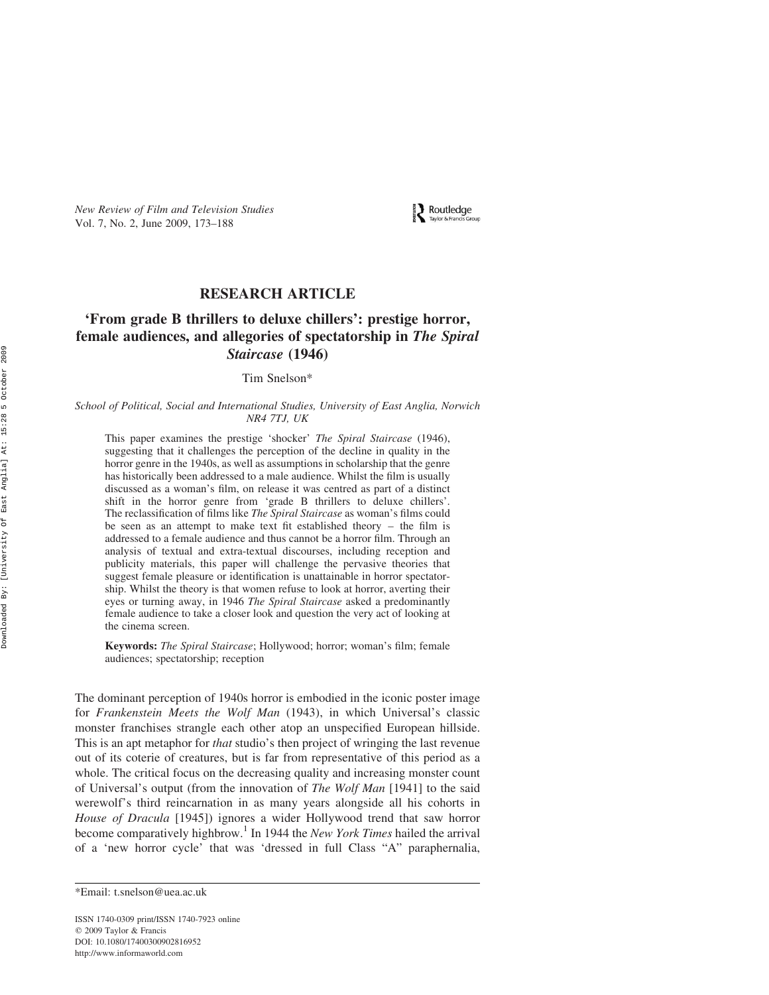New Review of Film and Television Studies Vol. 7, No. 2, June 2009, 173–188

**Explor & Francis Gro** 

# RESEARCH ARTICLE

# 'From grade B thrillers to deluxe chillers': prestige horror, female audiences, and allegories of spectatorship in The Spiral Staircase (1946)

Tim Snelson\*

#### School of Political, Social and International Studies, University of East Anglia, Norwich NR4 7TJ, UK

This paper examines the prestige 'shocker' The Spiral Staircase (1946), suggesting that it challenges the perception of the decline in quality in the horror genre in the 1940s, as well as assumptions in scholarship that the genre has historically been addressed to a male audience. Whilst the film is usually discussed as a woman's film, on release it was centred as part of a distinct shift in the horror genre from 'grade B thrillers to deluxe chillers'. The reclassification of films like The Spiral Staircase as woman's films could be seen as an attempt to make text fit established theory – the film is addressed to a female audience and thus cannot be a horror film. Through an analysis of textual and extra-textual discourses, including reception and publicity materials, this paper will challenge the pervasive theories that suggest female pleasure or identification is unattainable in horror spectatorship. Whilst the theory is that women refuse to look at horror, averting their eyes or turning away, in 1946 The Spiral Staircase asked a predominantly female audience to take a closer look and question the very act of looking at the cinema screen.

Keywords: The Spiral Staircase; Hollywood; horror; woman's film; female audiences; spectatorship; reception

The dominant perception of 1940s horror is embodied in the iconic poster image for Frankenstein Meets the Wolf Man (1943), in which Universal's classic monster franchises strangle each other atop an unspecified European hillside. This is an apt metaphor for *that* studio's then project of wringing the last revenue out of its coterie of creatures, but is far from representative of this period as a whole. The critical focus on the decreasing quality and increasing monster count of Universal's output (from the innovation of The Wolf Man [1941] to the said werewolf's third reincarnation in as many years alongside all his cohorts in House of Dracula [1945]) ignores a wider Hollywood trend that saw horror become comparatively highbrow.<sup>1</sup> In 1944 the *New York Times* hailed the arrival of a 'new horror cycle' that was 'dressed in full Class "A" paraphernalia,

ISSN 1740-0309 print/ISSN 1740-7923 online  $Q$  2009 Taylor & Francis DOI: 10.1080/17400300902816952 http://www.informaworld.com

<sup>\*</sup>Email: t.snelson@uea.ac.uk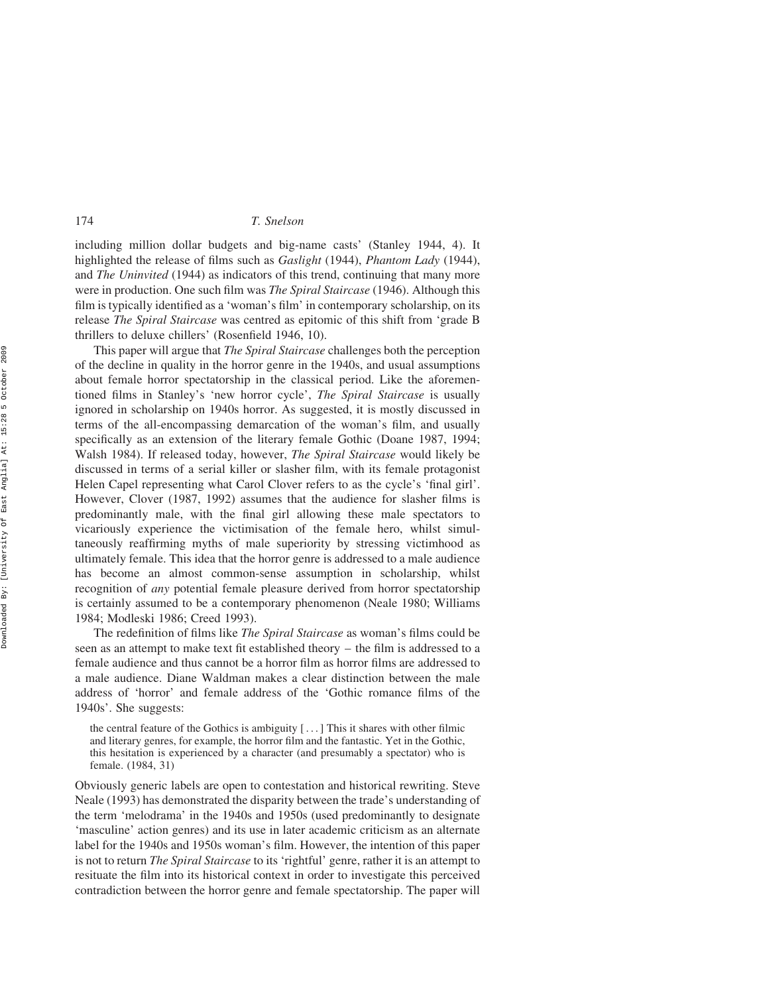including million dollar budgets and big-name casts' (Stanley 1944, 4). It highlighted the release of films such as Gaslight (1944), Phantom Lady (1944), and *The Uninvited* (1944) as indicators of this trend, continuing that many more were in production. One such film was The Spiral Staircase (1946). Although this film is typically identified as a 'woman's film' in contemporary scholarship, on its release The Spiral Staircase was centred as epitomic of this shift from 'grade B thrillers to deluxe chillers' (Rosenfield 1946, 10).

This paper will argue that The Spiral Staircase challenges both the perception of the decline in quality in the horror genre in the 1940s, and usual assumptions about female horror spectatorship in the classical period. Like the aforementioned films in Stanley's 'new horror cycle', The Spiral Staircase is usually ignored in scholarship on 1940s horror. As suggested, it is mostly discussed in terms of the all-encompassing demarcation of the woman's film, and usually specifically as an extension of the literary female Gothic (Doane 1987, 1994; Walsh 1984). If released today, however, The Spiral Staircase would likely be discussed in terms of a serial killer or slasher film, with its female protagonist Helen Capel representing what Carol Clover refers to as the cycle's 'final girl'. However, Clover (1987, 1992) assumes that the audience for slasher films is predominantly male, with the final girl allowing these male spectators to vicariously experience the victimisation of the female hero, whilst simultaneously reaffirming myths of male superiority by stressing victimhood as ultimately female. This idea that the horror genre is addressed to a male audience has become an almost common-sense assumption in scholarship, whilst recognition of any potential female pleasure derived from horror spectatorship is certainly assumed to be a contemporary phenomenon (Neale 1980; Williams 1984; Modleski 1986; Creed 1993).

The redefinition of films like The Spiral Staircase as woman's films could be seen as an attempt to make text fit established theory – the film is addressed to a female audience and thus cannot be a horror film as horror films are addressed to a male audience. Diane Waldman makes a clear distinction between the male address of 'horror' and female address of the 'Gothic romance films of the 1940s'. She suggests:

the central feature of the Gothics is ambiguity  $[\,\dots]$  This it shares with other filmic and literary genres, for example, the horror film and the fantastic. Yet in the Gothic, this hesitation is experienced by a character (and presumably a spectator) who is female. (1984, 31)

Obviously generic labels are open to contestation and historical rewriting. Steve Neale (1993) has demonstrated the disparity between the trade's understanding of the term 'melodrama' in the 1940s and 1950s (used predominantly to designate 'masculine' action genres) and its use in later academic criticism as an alternate label for the 1940s and 1950s woman's film. However, the intention of this paper is not to return *The Spiral Staircase* to its 'rightful' genre, rather it is an attempt to resituate the film into its historical context in order to investigate this perceived contradiction between the horror genre and female spectatorship. The paper will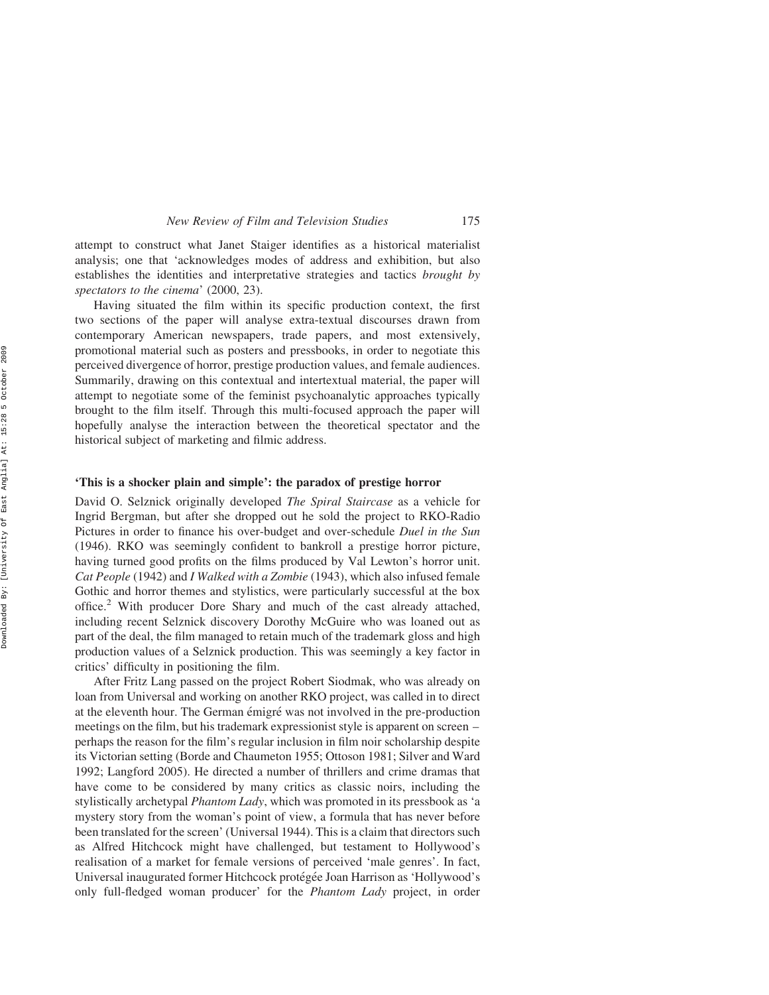attempt to construct what Janet Staiger identifies as a historical materialist analysis; one that 'acknowledges modes of address and exhibition, but also establishes the identities and interpretative strategies and tactics brought by spectators to the cinema' (2000, 23).

Having situated the film within its specific production context, the first two sections of the paper will analyse extra-textual discourses drawn from contemporary American newspapers, trade papers, and most extensively, promotional material such as posters and pressbooks, in order to negotiate this perceived divergence of horror, prestige production values, and female audiences. Summarily, drawing on this contextual and intertextual material, the paper will attempt to negotiate some of the feminist psychoanalytic approaches typically brought to the film itself. Through this multi-focused approach the paper will hopefully analyse the interaction between the theoretical spectator and the historical subject of marketing and filmic address.

## 'This is a shocker plain and simple': the paradox of prestige horror

David O. Selznick originally developed *The Spiral Staircase* as a vehicle for Ingrid Bergman, but after she dropped out he sold the project to RKO-Radio Pictures in order to finance his over-budget and over-schedule Duel in the Sun (1946). RKO was seemingly confident to bankroll a prestige horror picture, having turned good profits on the films produced by Val Lewton's horror unit. Cat People (1942) and I Walked with a Zombie (1943), which also infused female Gothic and horror themes and stylistics, were particularly successful at the box office.<sup>2</sup> With producer Dore Shary and much of the cast already attached, including recent Selznick discovery Dorothy McGuire who was loaned out as part of the deal, the film managed to retain much of the trademark gloss and high production values of a Selznick production. This was seemingly a key factor in critics' difficulty in positioning the film.

After Fritz Lang passed on the project Robert Siodmak, who was already on loan from Universal and working on another RKO project, was called in to direct at the eleventh hour. The German émigré was not involved in the pre-production meetings on the film, but his trademark expressionist style is apparent on screen – perhaps the reason for the film's regular inclusion in film noir scholarship despite its Victorian setting (Borde and Chaumeton 1955; Ottoson 1981; Silver and Ward 1992; Langford 2005). He directed a number of thrillers and crime dramas that have come to be considered by many critics as classic noirs, including the stylistically archetypal Phantom Lady, which was promoted in its pressbook as 'a mystery story from the woman's point of view, a formula that has never before been translated for the screen' (Universal 1944). This is a claim that directors such as Alfred Hitchcock might have challenged, but testament to Hollywood's realisation of a market for female versions of perceived 'male genres'. In fact, Universal inaugurated former Hitchcock protégée Joan Harrison as 'Hollywood's only full-fledged woman producer' for the Phantom Lady project, in order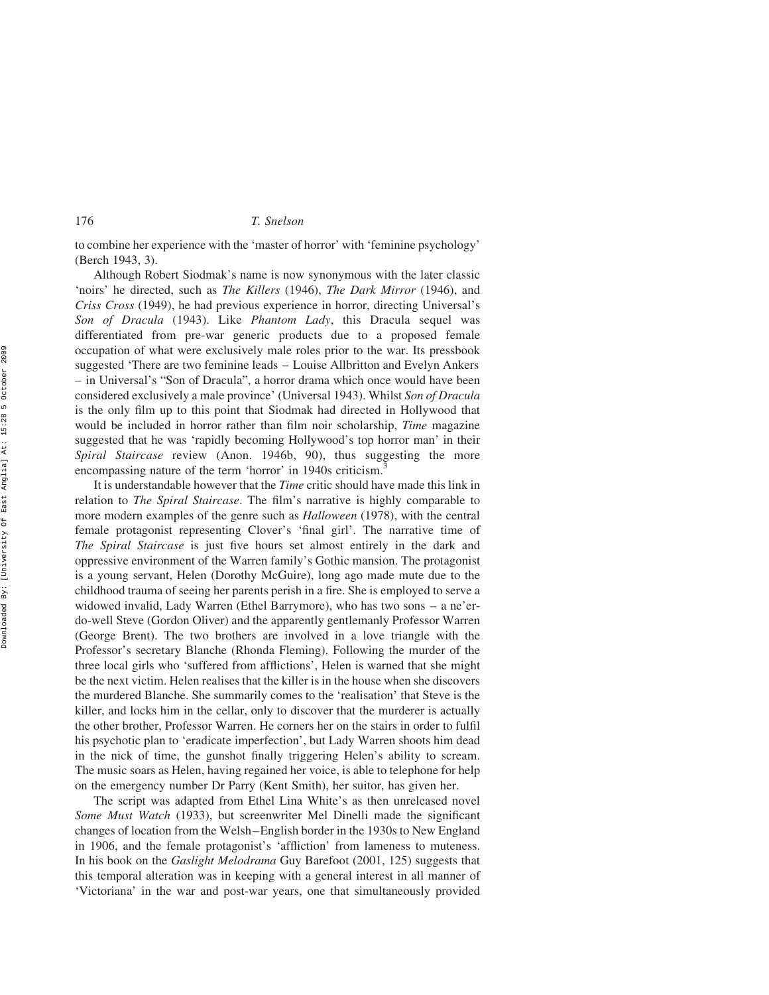to combine her experience with the 'master of horror' with 'feminine psychology' (Berch 1943, 3).

Although Robert Siodmak's name is now synonymous with the later classic 'noirs' he directed, such as The Killers (1946), The Dark Mirror (1946), and Criss Cross (1949), he had previous experience in horror, directing Universal's Son of Dracula (1943). Like Phantom Lady, this Dracula sequel was differentiated from pre-war generic products due to a proposed female occupation of what were exclusively male roles prior to the war. Its pressbook suggested 'There are two feminine leads – Louise Allbritton and Evelyn Ankers – in Universal's "Son of Dracula", a horror drama which once would have been considered exclusively a male province' (Universal 1943). Whilst Son of Dracula is the only film up to this point that Siodmak had directed in Hollywood that would be included in horror rather than film noir scholarship, *Time* magazine suggested that he was 'rapidly becoming Hollywood's top horror man' in their Spiral Staircase review (Anon. 1946b, 90), thus suggesting the more encompassing nature of the term 'horror' in 1940s criticism.

It is understandable however that the Time critic should have made this link in relation to The Spiral Staircase. The film's narrative is highly comparable to more modern examples of the genre such as *Halloween* (1978), with the central female protagonist representing Clover's 'final girl'. The narrative time of The Spiral Staircase is just five hours set almost entirely in the dark and oppressive environment of the Warren family's Gothic mansion. The protagonist is a young servant, Helen (Dorothy McGuire), long ago made mute due to the childhood trauma of seeing her parents perish in a fire. She is employed to serve a widowed invalid, Lady Warren (Ethel Barrymore), who has two sons – a ne'erdo-well Steve (Gordon Oliver) and the apparently gentlemanly Professor Warren (George Brent). The two brothers are involved in a love triangle with the Professor's secretary Blanche (Rhonda Fleming). Following the murder of the three local girls who 'suffered from afflictions', Helen is warned that she might be the next victim. Helen realises that the killer is in the house when she discovers the murdered Blanche. She summarily comes to the 'realisation' that Steve is the killer, and locks him in the cellar, only to discover that the murderer is actually the other brother, Professor Warren. He corners her on the stairs in order to fulfil his psychotic plan to 'eradicate imperfection', but Lady Warren shoots him dead in the nick of time, the gunshot finally triggering Helen's ability to scream. The music soars as Helen, having regained her voice, is able to telephone for help on the emergency number Dr Parry (Kent Smith), her suitor, has given her.

The script was adapted from Ethel Lina White's as then unreleased novel Some Must Watch (1933), but screenwriter Mel Dinelli made the significant changes of location from the Welsh–English border in the 1930s to New England in 1906, and the female protagonist's 'affliction' from lameness to muteness. In his book on the Gaslight Melodrama Guy Barefoot (2001, 125) suggests that this temporal alteration was in keeping with a general interest in all manner of 'Victoriana' in the war and post-war years, one that simultaneously provided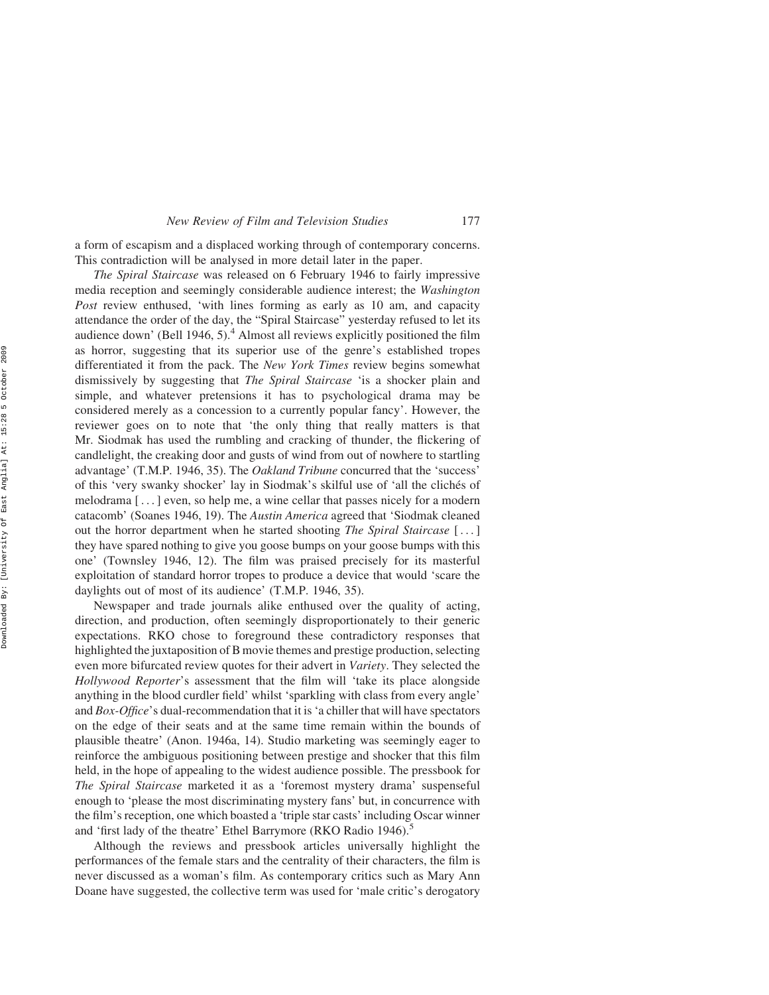a form of escapism and a displaced working through of contemporary concerns. This contradiction will be analysed in more detail later in the paper.

The Spiral Staircase was released on 6 February 1946 to fairly impressive media reception and seemingly considerable audience interest; the Washington Post review enthused, 'with lines forming as early as 10 am, and capacity attendance the order of the day, the "Spiral Staircase" yesterday refused to let its audience down' (Bell 1946, 5).<sup>4</sup> Almost all reviews explicitly positioned the film as horror, suggesting that its superior use of the genre's established tropes differentiated it from the pack. The New York Times review begins somewhat dismissively by suggesting that *The Spiral Staircase* 'is a shocker plain and simple, and whatever pretensions it has to psychological drama may be considered merely as a concession to a currently popular fancy'. However, the reviewer goes on to note that 'the only thing that really matters is that Mr. Siodmak has used the rumbling and cracking of thunder, the flickering of candlelight, the creaking door and gusts of wind from out of nowhere to startling advantage' (T.M.P. 1946, 35). The Oakland Tribune concurred that the 'success' of this 'very swanky shocker' lay in Siodmak's skilful use of 'all the cliches of melodrama [ ... ] even, so help me, a wine cellar that passes nicely for a modern catacomb' (Soanes 1946, 19). The Austin America agreed that 'Siodmak cleaned out the horror department when he started shooting The Spiral Staircase [ ... ] they have spared nothing to give you goose bumps on your goose bumps with this one' (Townsley 1946, 12). The film was praised precisely for its masterful exploitation of standard horror tropes to produce a device that would 'scare the daylights out of most of its audience' (T.M.P. 1946, 35).

Newspaper and trade journals alike enthused over the quality of acting, direction, and production, often seemingly disproportionately to their generic expectations. RKO chose to foreground these contradictory responses that highlighted the juxtaposition of B movie themes and prestige production, selecting even more bifurcated review quotes for their advert in *Variety*. They selected the Hollywood Reporter's assessment that the film will 'take its place alongside anything in the blood curdler field' whilst 'sparkling with class from every angle' and Box-Office's dual-recommendation that it is 'a chiller that will have spectators on the edge of their seats and at the same time remain within the bounds of plausible theatre' (Anon. 1946a, 14). Studio marketing was seemingly eager to reinforce the ambiguous positioning between prestige and shocker that this film held, in the hope of appealing to the widest audience possible. The pressbook for The Spiral Staircase marketed it as a 'foremost mystery drama' suspenseful enough to 'please the most discriminating mystery fans' but, in concurrence with the film's reception, one which boasted a 'triple star casts' including Oscar winner and 'first lady of the theatre' Ethel Barrymore (RKO Radio 1946).<sup>5</sup>

Although the reviews and pressbook articles universally highlight the performances of the female stars and the centrality of their characters, the film is never discussed as a woman's film. As contemporary critics such as Mary Ann Doane have suggested, the collective term was used for 'male critic's derogatory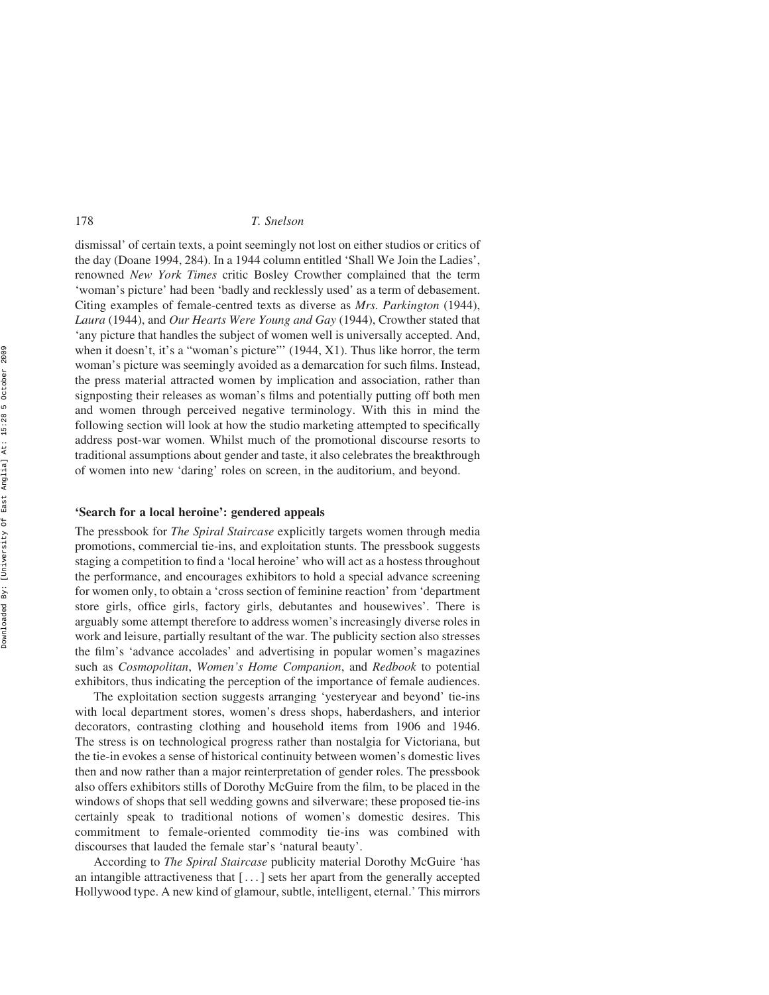dismissal' of certain texts, a point seemingly not lost on either studios or critics of the day (Doane 1994, 284). In a 1944 column entitled 'Shall We Join the Ladies', renowned New York Times critic Bosley Crowther complained that the term 'woman's picture' had been 'badly and recklessly used' as a term of debasement. Citing examples of female-centred texts as diverse as Mrs. Parkington (1944), Laura (1944), and Our Hearts Were Young and Gay (1944), Crowther stated that 'any picture that handles the subject of women well is universally accepted. And, when it doesn't, it's a "woman's picture"' (1944, X1). Thus like horror, the term woman's picture was seemingly avoided as a demarcation for such films. Instead, the press material attracted women by implication and association, rather than signposting their releases as woman's films and potentially putting off both men and women through perceived negative terminology. With this in mind the following section will look at how the studio marketing attempted to specifically address post-war women. Whilst much of the promotional discourse resorts to traditional assumptions about gender and taste, it also celebrates the breakthrough of women into new 'daring' roles on screen, in the auditorium, and beyond.

#### 'Search for a local heroine': gendered appeals

The pressbook for The Spiral Staircase explicitly targets women through media promotions, commercial tie-ins, and exploitation stunts. The pressbook suggests staging a competition to find a 'local heroine' who will act as a hostess throughout the performance, and encourages exhibitors to hold a special advance screening for women only, to obtain a 'cross section of feminine reaction' from 'department store girls, office girls, factory girls, debutantes and housewives'. There is arguably some attempt therefore to address women's increasingly diverse roles in work and leisure, partially resultant of the war. The publicity section also stresses the film's 'advance accolades' and advertising in popular women's magazines such as *Cosmopolitan, Women's Home Companion*, and *Redbook* to potential exhibitors, thus indicating the perception of the importance of female audiences.

The exploitation section suggests arranging 'yesteryear and beyond' tie-ins with local department stores, women's dress shops, haberdashers, and interior decorators, contrasting clothing and household items from 1906 and 1946. The stress is on technological progress rather than nostalgia for Victoriana, but the tie-in evokes a sense of historical continuity between women's domestic lives then and now rather than a major reinterpretation of gender roles. The pressbook also offers exhibitors stills of Dorothy McGuire from the film, to be placed in the windows of shops that sell wedding gowns and silverware; these proposed tie-ins certainly speak to traditional notions of women's domestic desires. This commitment to female-oriented commodity tie-ins was combined with discourses that lauded the female star's 'natural beauty'.

According to *The Spiral Staircase* publicity material Dorothy McGuire 'has an intangible attractiveness that [ ...] sets her apart from the generally accepted Hollywood type. A new kind of glamour, subtle, intelligent, eternal.' This mirrors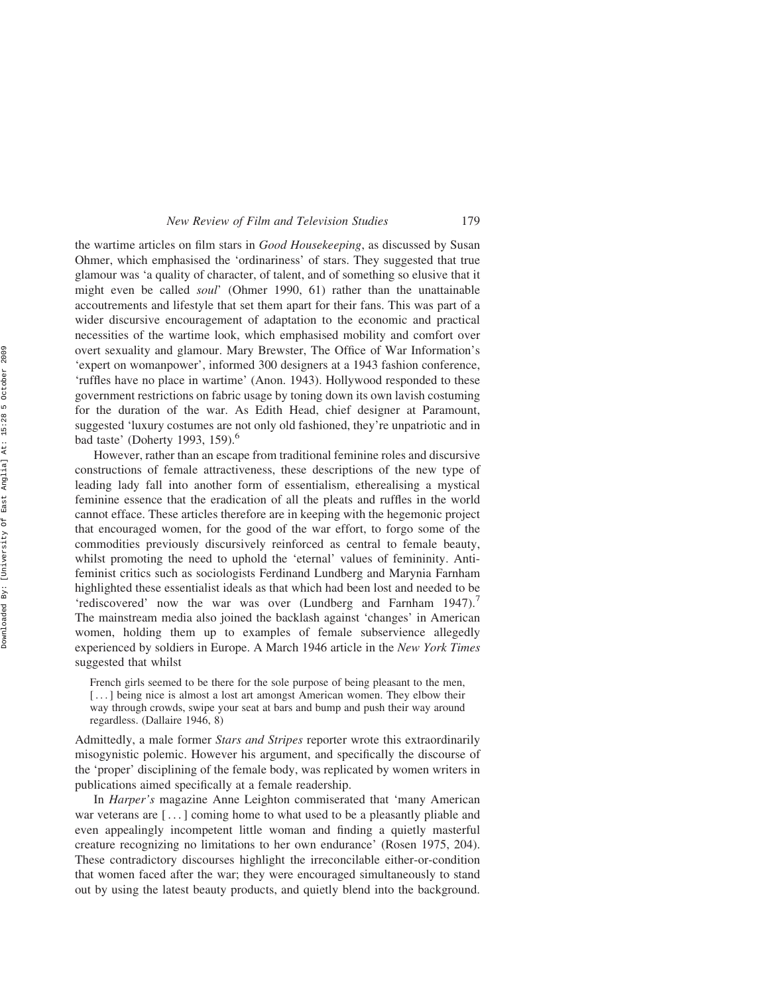the wartime articles on film stars in Good Housekeeping, as discussed by Susan Ohmer, which emphasised the 'ordinariness' of stars. They suggested that true glamour was 'a quality of character, of talent, and of something so elusive that it might even be called soul' (Ohmer 1990, 61) rather than the unattainable accoutrements and lifestyle that set them apart for their fans. This was part of a wider discursive encouragement of adaptation to the economic and practical necessities of the wartime look, which emphasised mobility and comfort over overt sexuality and glamour. Mary Brewster, The Office of War Information's 'expert on womanpower', informed 300 designers at a 1943 fashion conference, 'ruffles have no place in wartime' (Anon. 1943). Hollywood responded to these government restrictions on fabric usage by toning down its own lavish costuming for the duration of the war. As Edith Head, chief designer at Paramount, suggested 'luxury costumes are not only old fashioned, they're unpatriotic and in bad taste' (Doherty 1993, 159).<sup>6</sup>

However, rather than an escape from traditional feminine roles and discursive constructions of female attractiveness, these descriptions of the new type of leading lady fall into another form of essentialism, etherealising a mystical feminine essence that the eradication of all the pleats and ruffles in the world cannot efface. These articles therefore are in keeping with the hegemonic project that encouraged women, for the good of the war effort, to forgo some of the commodities previously discursively reinforced as central to female beauty, whilst promoting the need to uphold the 'eternal' values of femininity. Antifeminist critics such as sociologists Ferdinand Lundberg and Marynia Farnham highlighted these essentialist ideals as that which had been lost and needed to be 'rediscovered' now the war was over  $(Lundberg and Farnham 1947)$ . The mainstream media also joined the backlash against 'changes' in American women, holding them up to examples of female subservience allegedly experienced by soldiers in Europe. A March 1946 article in the New York Times suggested that whilst

French girls seemed to be there for the sole purpose of being pleasant to the men, [...] being nice is almost a lost art amongst American women. They elbow their way through crowds, swipe your seat at bars and bump and push their way around regardless. (Dallaire 1946, 8)

Admittedly, a male former Stars and Stripes reporter wrote this extraordinarily misogynistic polemic. However his argument, and specifically the discourse of the 'proper' disciplining of the female body, was replicated by women writers in publications aimed specifically at a female readership.

In Harper's magazine Anne Leighton commiserated that 'many American war veterans are [...] coming home to what used to be a pleasantly pliable and even appealingly incompetent little woman and finding a quietly masterful creature recognizing no limitations to her own endurance' (Rosen 1975, 204). These contradictory discourses highlight the irreconcilable either-or-condition that women faced after the war; they were encouraged simultaneously to stand out by using the latest beauty products, and quietly blend into the background.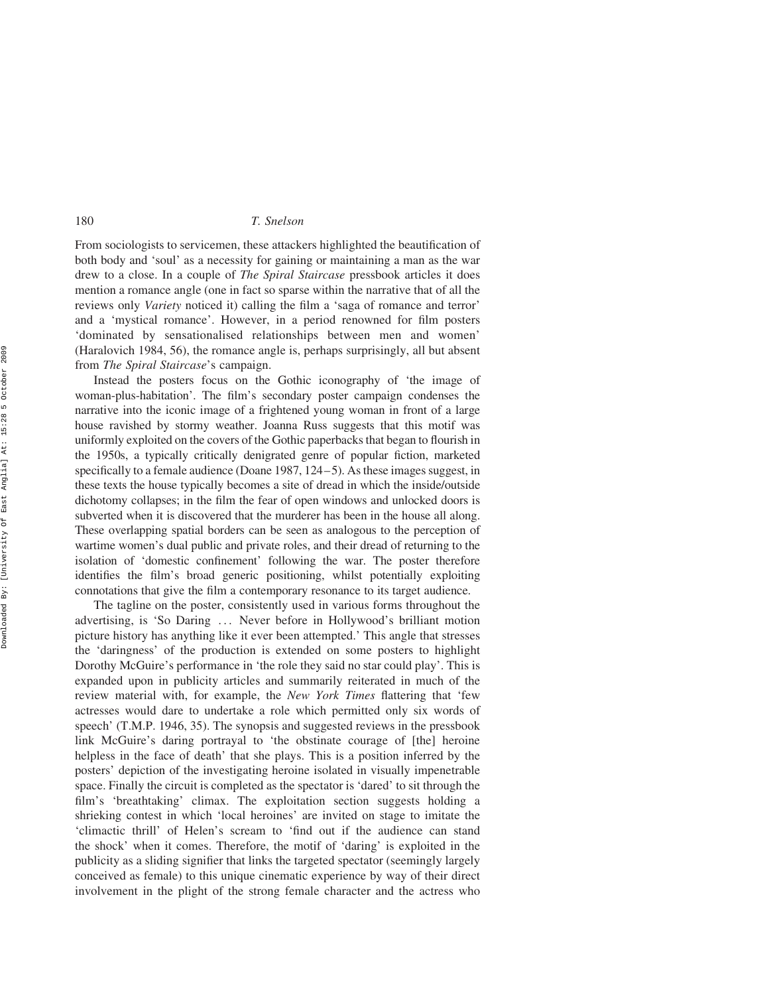From sociologists to servicemen, these attackers highlighted the beautification of both body and 'soul' as a necessity for gaining or maintaining a man as the war drew to a close. In a couple of *The Spiral Staircase* pressbook articles it does mention a romance angle (one in fact so sparse within the narrative that of all the reviews only Variety noticed it) calling the film a 'saga of romance and terror' and a 'mystical romance'. However, in a period renowned for film posters 'dominated by sensationalised relationships between men and women' (Haralovich 1984, 56), the romance angle is, perhaps surprisingly, all but absent from The Spiral Staircase's campaign.

Instead the posters focus on the Gothic iconography of 'the image of woman-plus-habitation'. The film's secondary poster campaign condenses the narrative into the iconic image of a frightened young woman in front of a large house ravished by stormy weather. Joanna Russ suggests that this motif was uniformly exploited on the covers of the Gothic paperbacks that began to flourish in the 1950s, a typically critically denigrated genre of popular fiction, marketed specifically to a female audience (Doane 1987, 124–5). As these images suggest, in these texts the house typically becomes a site of dread in which the inside/outside dichotomy collapses; in the film the fear of open windows and unlocked doors is subverted when it is discovered that the murderer has been in the house all along. These overlapping spatial borders can be seen as analogous to the perception of wartime women's dual public and private roles, and their dread of returning to the isolation of 'domestic confinement' following the war. The poster therefore identifies the film's broad generic positioning, whilst potentially exploiting connotations that give the film a contemporary resonance to its target audience.

The tagline on the poster, consistently used in various forms throughout the advertising, is 'So Daring ... Never before in Hollywood's brilliant motion picture history has anything like it ever been attempted.' This angle that stresses the 'daringness' of the production is extended on some posters to highlight Dorothy McGuire's performance in 'the role they said no star could play'. This is expanded upon in publicity articles and summarily reiterated in much of the review material with, for example, the *New York Times* flattering that 'few actresses would dare to undertake a role which permitted only six words of speech' (T.M.P. 1946, 35). The synopsis and suggested reviews in the pressbook link McGuire's daring portrayal to 'the obstinate courage of [the] heroine helpless in the face of death' that she plays. This is a position inferred by the posters' depiction of the investigating heroine isolated in visually impenetrable space. Finally the circuit is completed as the spectator is 'dared' to sit through the film's 'breathtaking' climax. The exploitation section suggests holding a shrieking contest in which 'local heroines' are invited on stage to imitate the 'climactic thrill' of Helen's scream to 'find out if the audience can stand the shock' when it comes. Therefore, the motif of 'daring' is exploited in the publicity as a sliding signifier that links the targeted spectator (seemingly largely conceived as female) to this unique cinematic experience by way of their direct involvement in the plight of the strong female character and the actress who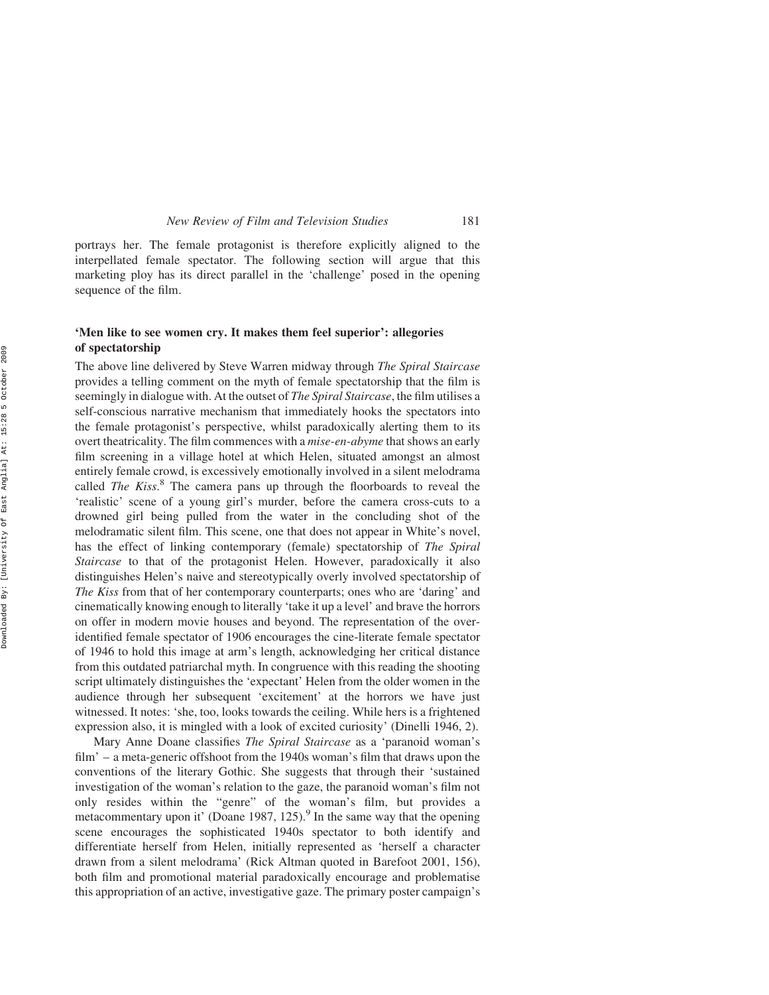portrays her. The female protagonist is therefore explicitly aligned to the interpellated female spectator. The following section will argue that this marketing ploy has its direct parallel in the 'challenge' posed in the opening sequence of the film.

## 'Men like to see women cry. It makes them feel superior': allegories of spectatorship

The above line delivered by Steve Warren midway through The Spiral Staircase provides a telling comment on the myth of female spectatorship that the film is seemingly in dialogue with. At the outset of *The Spiral Staircase*, the film utilises a self-conscious narrative mechanism that immediately hooks the spectators into the female protagonist's perspective, whilst paradoxically alerting them to its overt theatricality. The film commences with a *mise-en-abyme* that shows an early film screening in a village hotel at which Helen, situated amongst an almost entirely female crowd, is excessively emotionally involved in a silent melodrama called The Kiss.<sup>8</sup> The camera pans up through the floorboards to reveal the 'realistic' scene of a young girl's murder, before the camera cross-cuts to a drowned girl being pulled from the water in the concluding shot of the melodramatic silent film. This scene, one that does not appear in White's novel, has the effect of linking contemporary (female) spectatorship of The Spiral Staircase to that of the protagonist Helen. However, paradoxically it also distinguishes Helen's naive and stereotypically overly involved spectatorship of The Kiss from that of her contemporary counterparts; ones who are 'daring' and cinematically knowing enough to literally 'take it up a level' and brave the horrors on offer in modern movie houses and beyond. The representation of the overidentified female spectator of 1906 encourages the cine-literate female spectator of 1946 to hold this image at arm's length, acknowledging her critical distance from this outdated patriarchal myth. In congruence with this reading the shooting script ultimately distinguishes the 'expectant' Helen from the older women in the audience through her subsequent 'excitement' at the horrors we have just witnessed. It notes: 'she, too, looks towards the ceiling. While hers is a frightened expression also, it is mingled with a look of excited curiosity' (Dinelli 1946, 2).

Mary Anne Doane classifies The Spiral Staircase as a 'paranoid woman's film' – a meta-generic offshoot from the 1940s woman's film that draws upon the conventions of the literary Gothic. She suggests that through their 'sustained investigation of the woman's relation to the gaze, the paranoid woman's film not only resides within the "genre" of the woman's film, but provides a metacommentary upon it' (Doane 1987, 125).<sup>9</sup> In the same way that the opening scene encourages the sophisticated 1940s spectator to both identify and differentiate herself from Helen, initially represented as 'herself a character drawn from a silent melodrama' (Rick Altman quoted in Barefoot 2001, 156), both film and promotional material paradoxically encourage and problematise this appropriation of an active, investigative gaze. The primary poster campaign's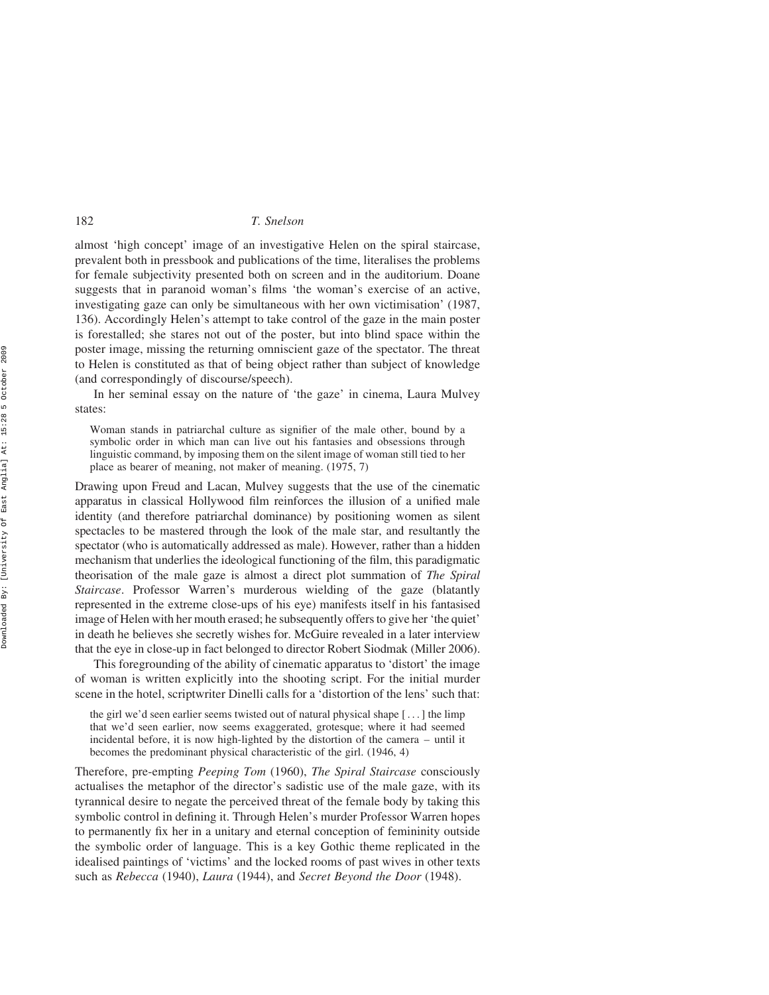almost 'high concept' image of an investigative Helen on the spiral staircase, prevalent both in pressbook and publications of the time, literalises the problems for female subjectivity presented both on screen and in the auditorium. Doane suggests that in paranoid woman's films 'the woman's exercise of an active, investigating gaze can only be simultaneous with her own victimisation' (1987, 136). Accordingly Helen's attempt to take control of the gaze in the main poster is forestalled; she stares not out of the poster, but into blind space within the poster image, missing the returning omniscient gaze of the spectator. The threat to Helen is constituted as that of being object rather than subject of knowledge (and correspondingly of discourse/speech).

In her seminal essay on the nature of 'the gaze' in cinema, Laura Mulvey states:

Woman stands in patriarchal culture as signifier of the male other, bound by a symbolic order in which man can live out his fantasies and obsessions through linguistic command, by imposing them on the silent image of woman still tied to her place as bearer of meaning, not maker of meaning. (1975, 7)

Drawing upon Freud and Lacan, Mulvey suggests that the use of the cinematic apparatus in classical Hollywood film reinforces the illusion of a unified male identity (and therefore patriarchal dominance) by positioning women as silent spectacles to be mastered through the look of the male star, and resultantly the spectator (who is automatically addressed as male). However, rather than a hidden mechanism that underlies the ideological functioning of the film, this paradigmatic theorisation of the male gaze is almost a direct plot summation of The Spiral Staircase. Professor Warren's murderous wielding of the gaze (blatantly represented in the extreme close-ups of his eye) manifests itself in his fantasised image of Helen with her mouth erased; he subsequently offers to give her 'the quiet' in death he believes she secretly wishes for. McGuire revealed in a later interview that the eye in close-up in fact belonged to director Robert Siodmak (Miller 2006).

This foregrounding of the ability of cinematic apparatus to 'distort' the image of woman is written explicitly into the shooting script. For the initial murder scene in the hotel, scriptwriter Dinelli calls for a 'distortion of the lens' such that:

the girl we'd seen earlier seems twisted out of natural physical shape [ ... ] the limp that we'd seen earlier, now seems exaggerated, grotesque; where it had seemed incidental before, it is now high-lighted by the distortion of the camera – until it becomes the predominant physical characteristic of the girl. (1946, 4)

Therefore, pre-empting Peeping Tom (1960), The Spiral Staircase consciously actualises the metaphor of the director's sadistic use of the male gaze, with its tyrannical desire to negate the perceived threat of the female body by taking this symbolic control in defining it. Through Helen's murder Professor Warren hopes to permanently fix her in a unitary and eternal conception of femininity outside the symbolic order of language. This is a key Gothic theme replicated in the idealised paintings of 'victims' and the locked rooms of past wives in other texts such as Rebecca (1940), Laura (1944), and Secret Beyond the Door (1948).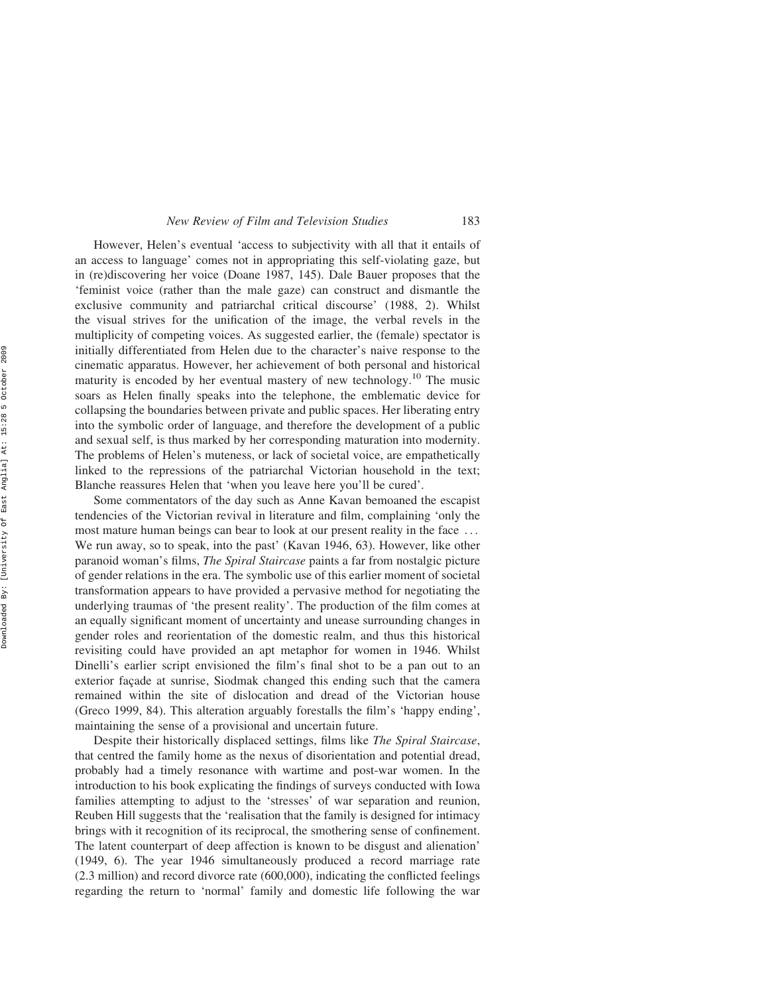However, Helen's eventual 'access to subjectivity with all that it entails of an access to language' comes not in appropriating this self-violating gaze, but in (re)discovering her voice (Doane 1987, 145). Dale Bauer proposes that the 'feminist voice (rather than the male gaze) can construct and dismantle the exclusive community and patriarchal critical discourse' (1988, 2). Whilst the visual strives for the unification of the image, the verbal revels in the multiplicity of competing voices. As suggested earlier, the (female) spectator is initially differentiated from Helen due to the character's naive response to the cinematic apparatus. However, her achievement of both personal and historical maturity is encoded by her eventual mastery of new technology.<sup>10</sup> The music soars as Helen finally speaks into the telephone, the emblematic device for collapsing the boundaries between private and public spaces. Her liberating entry into the symbolic order of language, and therefore the development of a public and sexual self, is thus marked by her corresponding maturation into modernity. The problems of Helen's muteness, or lack of societal voice, are empathetically linked to the repressions of the patriarchal Victorian household in the text; Blanche reassures Helen that 'when you leave here you'll be cured'.

Some commentators of the day such as Anne Kavan bemoaned the escapist tendencies of the Victorian revival in literature and film, complaining 'only the most mature human beings can bear to look at our present reality in the face ... We run away, so to speak, into the past' (Kavan 1946, 63). However, like other paranoid woman's films, The Spiral Staircase paints a far from nostalgic picture of gender relations in the era. The symbolic use of this earlier moment of societal transformation appears to have provided a pervasive method for negotiating the underlying traumas of 'the present reality'. The production of the film comes at an equally significant moment of uncertainty and unease surrounding changes in gender roles and reorientation of the domestic realm, and thus this historical revisiting could have provided an apt metaphor for women in 1946. Whilst Dinelli's earlier script envisioned the film's final shot to be a pan out to an exterior façade at sunrise, Siodmak changed this ending such that the camera remained within the site of dislocation and dread of the Victorian house (Greco 1999, 84). This alteration arguably forestalls the film's 'happy ending', maintaining the sense of a provisional and uncertain future.

Despite their historically displaced settings, films like The Spiral Staircase, that centred the family home as the nexus of disorientation and potential dread, probably had a timely resonance with wartime and post-war women. In the introduction to his book explicating the findings of surveys conducted with Iowa families attempting to adjust to the 'stresses' of war separation and reunion, Reuben Hill suggests that the 'realisation that the family is designed for intimacy brings with it recognition of its reciprocal, the smothering sense of confinement. The latent counterpart of deep affection is known to be disgust and alienation' (1949, 6). The year 1946 simultaneously produced a record marriage rate (2.3 million) and record divorce rate (600,000), indicating the conflicted feelings regarding the return to 'normal' family and domestic life following the war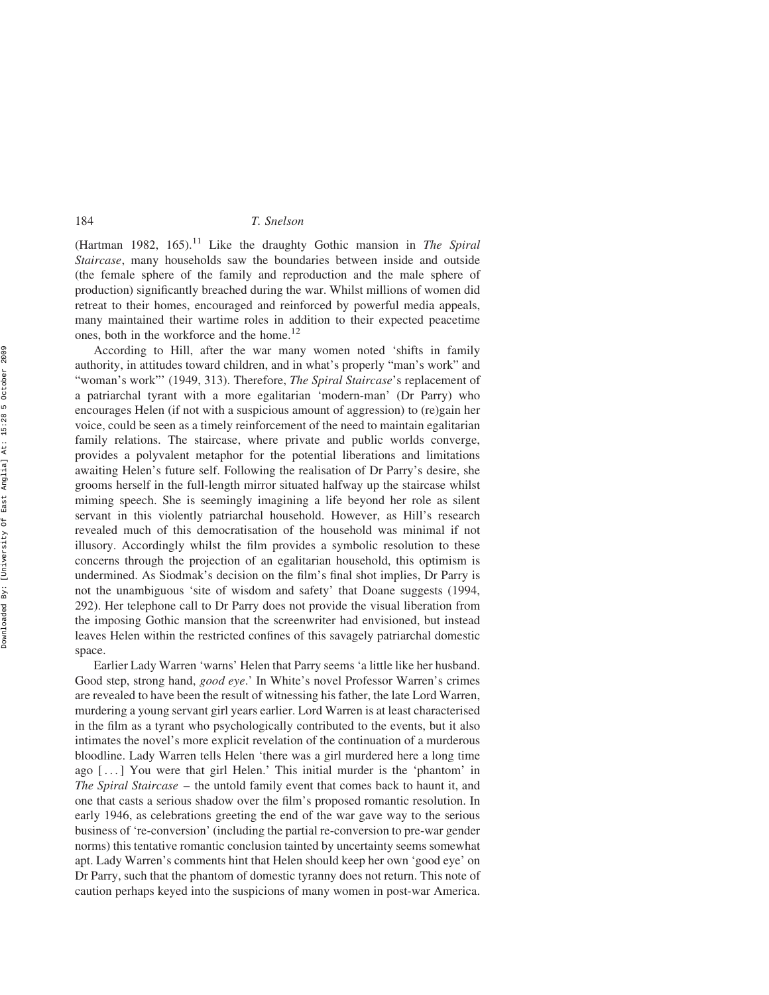(Hartman 1982, 165).<sup>11</sup> Like the draughty Gothic mansion in The Spiral Staircase, many households saw the boundaries between inside and outside (the female sphere of the family and reproduction and the male sphere of production) significantly breached during the war. Whilst millions of women did retreat to their homes, encouraged and reinforced by powerful media appeals, many maintained their wartime roles in addition to their expected peacetime ones, both in the workforce and the home.<sup>12</sup>

According to Hill, after the war many women noted 'shifts in family authority, in attitudes toward children, and in what's properly "man's work" and "woman's work"' (1949, 313). Therefore, The Spiral Staircase's replacement of a patriarchal tyrant with a more egalitarian 'modern-man' (Dr Parry) who encourages Helen (if not with a suspicious amount of aggression) to (re)gain her voice, could be seen as a timely reinforcement of the need to maintain egalitarian family relations. The staircase, where private and public worlds converge, provides a polyvalent metaphor for the potential liberations and limitations awaiting Helen's future self. Following the realisation of Dr Parry's desire, she grooms herself in the full-length mirror situated halfway up the staircase whilst miming speech. She is seemingly imagining a life beyond her role as silent servant in this violently patriarchal household. However, as Hill's research revealed much of this democratisation of the household was minimal if not illusory. Accordingly whilst the film provides a symbolic resolution to these concerns through the projection of an egalitarian household, this optimism is undermined. As Siodmak's decision on the film's final shot implies, Dr Parry is not the unambiguous 'site of wisdom and safety' that Doane suggests (1994, 292). Her telephone call to Dr Parry does not provide the visual liberation from the imposing Gothic mansion that the screenwriter had envisioned, but instead leaves Helen within the restricted confines of this savagely patriarchal domestic space.

Earlier Lady Warren 'warns' Helen that Parry seems 'a little like her husband. Good step, strong hand, good eye.' In White's novel Professor Warren's crimes are revealed to have been the result of witnessing his father, the late Lord Warren, murdering a young servant girl years earlier. Lord Warren is at least characterised in the film as a tyrant who psychologically contributed to the events, but it also intimates the novel's more explicit revelation of the continuation of a murderous bloodline. Lady Warren tells Helen 'there was a girl murdered here a long time ago [ ...] You were that girl Helen.' This initial murder is the 'phantom' in The Spiral Staircase – the untold family event that comes back to haunt it, and one that casts a serious shadow over the film's proposed romantic resolution. In early 1946, as celebrations greeting the end of the war gave way to the serious business of 're-conversion' (including the partial re-conversion to pre-war gender norms) this tentative romantic conclusion tainted by uncertainty seems somewhat apt. Lady Warren's comments hint that Helen should keep her own 'good eye' on Dr Parry, such that the phantom of domestic tyranny does not return. This note of caution perhaps keyed into the suspicions of many women in post-war America.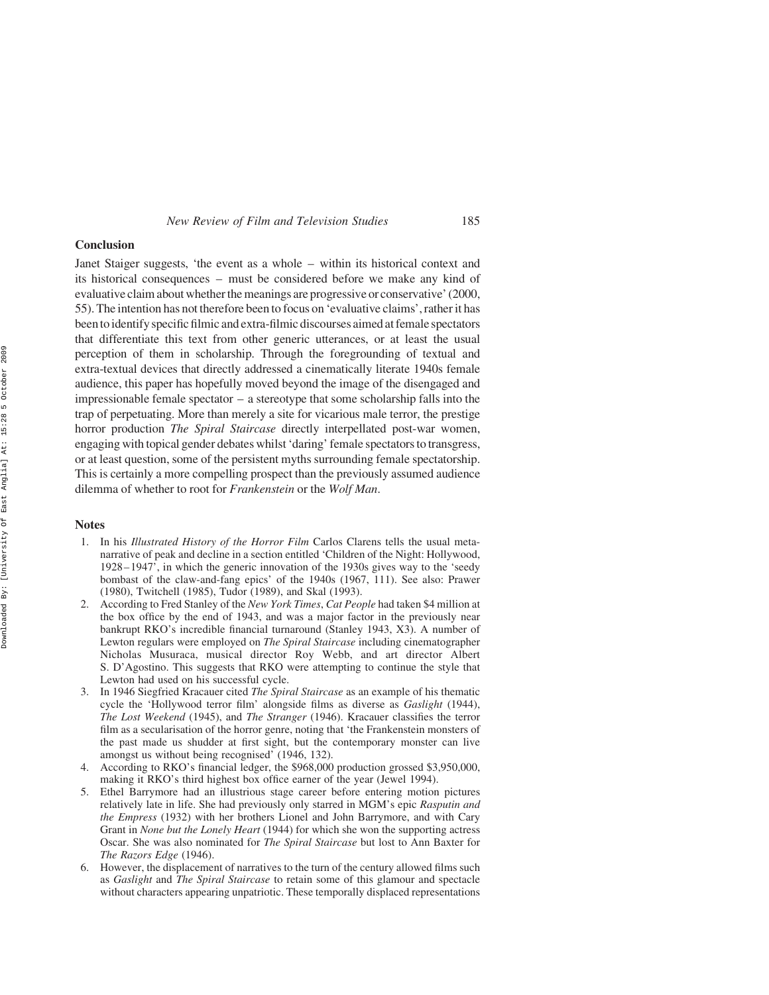#### Conclusion

Janet Staiger suggests, 'the event as a whole – within its historical context and its historical consequences – must be considered before we make any kind of evaluative claim about whether the meanings are progressive or conservative' (2000, 55). The intention has not therefore been to focus on 'evaluative claims', rather it has been to identify specific filmic and extra-filmic discourses aimed at female spectators that differentiate this text from other generic utterances, or at least the usual perception of them in scholarship. Through the foregrounding of textual and extra-textual devices that directly addressed a cinematically literate 1940s female audience, this paper has hopefully moved beyond the image of the disengaged and impressionable female spectator – a stereotype that some scholarship falls into the trap of perpetuating. More than merely a site for vicarious male terror, the prestige horror production The Spiral Staircase directly interpellated post-war women, engaging with topical gender debates whilst 'daring' female spectators to transgress, or at least question, some of the persistent myths surrounding female spectatorship. This is certainly a more compelling prospect than the previously assumed audience dilemma of whether to root for Frankenstein or the Wolf Man.

## Notes

- 1. In his Illustrated History of the Horror Film Carlos Clarens tells the usual metanarrative of peak and decline in a section entitled 'Children of the Night: Hollywood, 1928–1947', in which the generic innovation of the 1930s gives way to the 'seedy bombast of the claw-and-fang epics' of the 1940s (1967, 111). See also: Prawer (1980), Twitchell (1985), Tudor (1989), and Skal (1993).
- 2. According to Fred Stanley of the New York Times, Cat People had taken \$4 million at the box office by the end of 1943, and was a major factor in the previously near bankrupt RKO's incredible financial turnaround (Stanley 1943, X3). A number of Lewton regulars were employed on The Spiral Staircase including cinematographer Nicholas Musuraca, musical director Roy Webb, and art director Albert S. D'Agostino. This suggests that RKO were attempting to continue the style that Lewton had used on his successful cycle.
- 3. In 1946 Siegfried Kracauer cited The Spiral Staircase as an example of his thematic cycle the 'Hollywood terror film' alongside films as diverse as Gaslight (1944), The Lost Weekend (1945), and The Stranger (1946). Kracauer classifies the terror film as a secularisation of the horror genre, noting that 'the Frankenstein monsters of the past made us shudder at first sight, but the contemporary monster can live amongst us without being recognised' (1946, 132).
- 4. According to RKO's financial ledger, the \$968,000 production grossed \$3,950,000, making it RKO's third highest box office earner of the year (Jewel 1994).
- 5. Ethel Barrymore had an illustrious stage career before entering motion pictures relatively late in life. She had previously only starred in MGM's epic Rasputin and the Empress (1932) with her brothers Lionel and John Barrymore, and with Cary Grant in None but the Lonely Heart (1944) for which she won the supporting actress Oscar. She was also nominated for The Spiral Staircase but lost to Ann Baxter for The Razors Edge (1946).
- 6. However, the displacement of narratives to the turn of the century allowed films such as Gaslight and The Spiral Staircase to retain some of this glamour and spectacle without characters appearing unpatriotic. These temporally displaced representations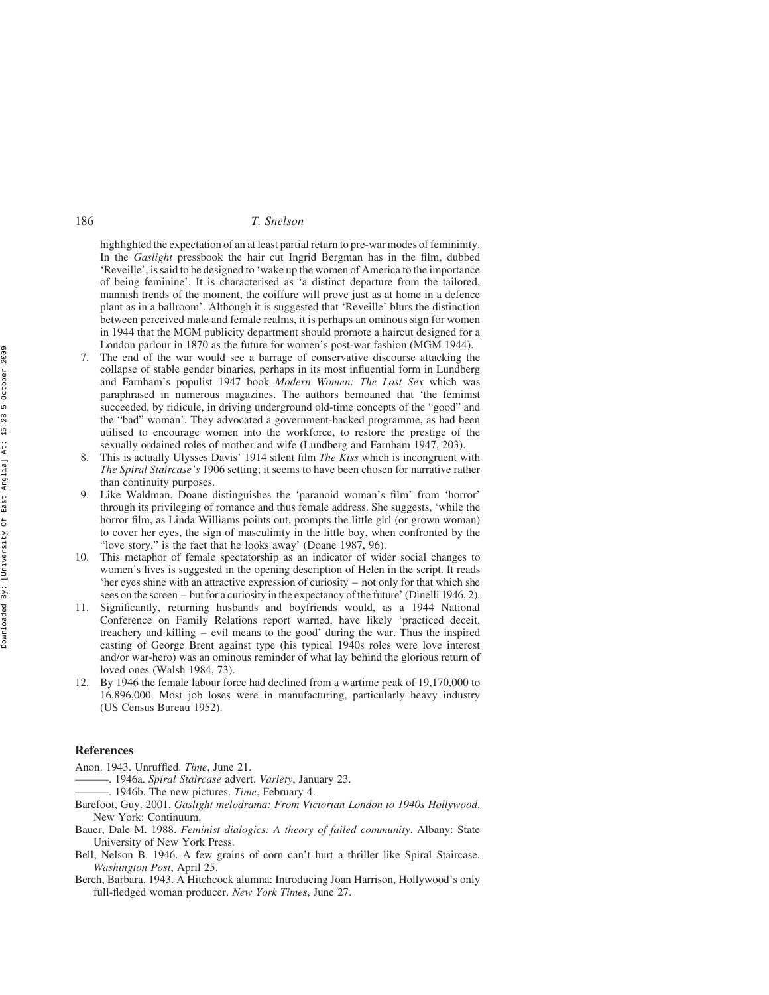highlighted the expectation of an at least partial return to pre-war modes of femininity. In the Gaslight pressbook the hair cut Ingrid Bergman has in the film, dubbed 'Reveille', is said to be designed to 'wake up the women of America to the importance of being feminine'. It is characterised as 'a distinct departure from the tailored, mannish trends of the moment, the coiffure will prove just as at home in a defence plant as in a ballroom'. Although it is suggested that 'Reveille' blurs the distinction between perceived male and female realms, it is perhaps an ominous sign for women in 1944 that the MGM publicity department should promote a haircut designed for a London parlour in 1870 as the future for women's post-war fashion (MGM 1944).

- The end of the war would see a barrage of conservative discourse attacking the collapse of stable gender binaries, perhaps in its most influential form in Lundberg and Farnham's populist 1947 book Modern Women: The Lost Sex which was paraphrased in numerous magazines. The authors bemoaned that 'the feminist succeeded, by ridicule, in driving underground old-time concepts of the "good" and the "bad" woman'. They advocated a government-backed programme, as had been utilised to encourage women into the workforce, to restore the prestige of the sexually ordained roles of mother and wife (Lundberg and Farnham 1947, 203).
- This is actually Ulysses Davis' 1914 silent film The Kiss which is incongruent with The Spiral Staircase's 1906 setting; it seems to have been chosen for narrative rather than continuity purposes.
- 9. Like Waldman, Doane distinguishes the 'paranoid woman's film' from 'horror' through its privileging of romance and thus female address. She suggests, 'while the horror film, as Linda Williams points out, prompts the little girl (or grown woman) to cover her eyes, the sign of masculinity in the little boy, when confronted by the "love story," is the fact that he looks away' (Doane 1987, 96).
- 10. This metaphor of female spectatorship as an indicator of wider social changes to women's lives is suggested in the opening description of Helen in the script. It reads 'her eyes shine with an attractive expression of curiosity – not only for that which she sees on the screen – but for a curiosity in the expectancy of the future' (Dinelli 1946, 2).
- 11. Significantly, returning husbands and boyfriends would, as a 1944 National Conference on Family Relations report warned, have likely 'practiced deceit, treachery and killing – evil means to the good' during the war. Thus the inspired casting of George Brent against type (his typical 1940s roles were love interest and/or war-hero) was an ominous reminder of what lay behind the glorious return of loved ones (Walsh 1984, 73).
- 12. By 1946 the female labour force had declined from a wartime peak of 19,170,000 to 16,896,000. Most job loses were in manufacturing, particularly heavy industry (US Census Bureau 1952).

### References

- Anon. 1943. Unruffled. Time, June 21.
- ———. 1946a. Spiral Staircase advert. Variety, January 23.
- -. 1946b. The new pictures. Time, February 4.
- Barefoot, Guy. 2001. Gaslight melodrama: From Victorian London to 1940s Hollywood. New York: Continuum.
- Bauer, Dale M. 1988. Feminist dialogics: A theory of failed community. Albany: State University of New York Press.
- Bell, Nelson B. 1946. A few grains of corn can't hurt a thriller like Spiral Staircase. Washington Post, April 25.
- Berch, Barbara. 1943. A Hitchcock alumna: Introducing Joan Harrison, Hollywood's only full-fledged woman producer. New York Times, June 27.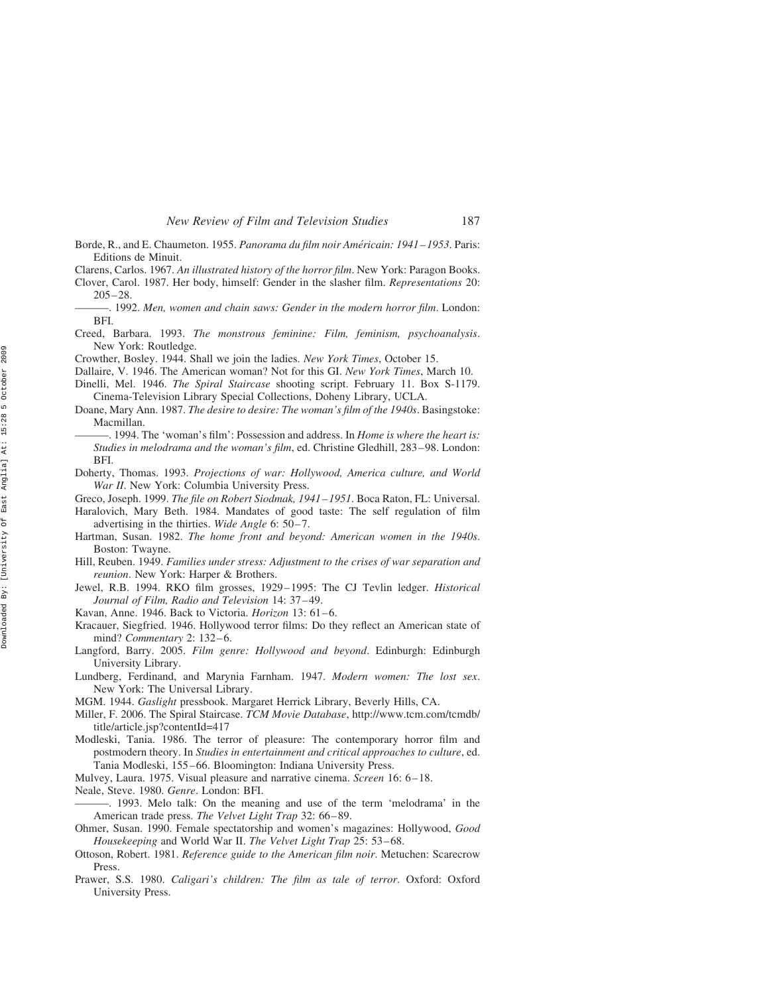- Borde, R., and E. Chaumeton. 1955. Panorama du film noir Américain: 1941–1953. Paris: Editions de Minuit.
- Clarens, Carlos. 1967. An illustrated history of the horror film. New York: Paragon Books.

Clover, Carol. 1987. Her body, himself: Gender in the slasher film. Representations 20: 205–28.

- -. 1992. Men, women and chain saws: Gender in the modern horror film. London: BFI.
- Creed, Barbara. 1993. The monstrous feminine: Film, feminism, psychoanalysis. New York: Routledge.
- Crowther, Bosley. 1944. Shall we join the ladies. New York Times, October 15.
- Dallaire, V. 1946. The American woman? Not for this GI. New York Times, March 10.
- Dinelli, Mel. 1946. The Spiral Staircase shooting script. February 11. Box S-1179. Cinema-Television Library Special Collections, Doheny Library, UCLA.
- Doane, Mary Ann. 1987. The desire to desire: The woman's film of the 1940s. Basingstoke: Macmillan.
- . 1994. The 'woman's film': Possession and address. In Home is where the heart is: Studies in melodrama and the woman's film, ed. Christine Gledhill, 283–98. London: BFI.
- Doherty, Thomas. 1993. Projections of war: Hollywood, America culture, and World War II. New York: Columbia University Press.
- Greco, Joseph. 1999. The file on Robert Siodmak, 1941– 1951. Boca Raton, FL: Universal.
- Haralovich, Mary Beth. 1984. Mandates of good taste: The self regulation of film advertising in the thirties. Wide Angle 6: 50–7.
- Hartman, Susan. 1982. The home front and beyond: American women in the 1940s. Boston: Twayne.
- Hill, Reuben. 1949. Families under stress: Adjustment to the crises of war separation and reunion. New York: Harper & Brothers.
- Jewel, R.B. 1994. RKO film grosses, 1929–1995: The CJ Tevlin ledger. Historical Journal of Film, Radio and Television 14: 37–49.
- Kavan, Anne. 1946. Back to Victoria. Horizon 13: 61–6.
- Kracauer, Siegfried. 1946. Hollywood terror films: Do they reflect an American state of mind? *Commentary* 2: 132–6.
- Langford, Barry. 2005. Film genre: Hollywood and beyond. Edinburgh: Edinburgh University Library.
- Lundberg, Ferdinand, and Marynia Farnham. 1947. Modern women: The lost sex. New York: The Universal Library.
- MGM. 1944. Gaslight pressbook. Margaret Herrick Library, Beverly Hills, CA.
- Miller, F. 2006. The Spiral Staircase. TCM Movie Database, http://www.tcm.com/tcmdb/ title/article.jsp?contentId=417
- Modleski, Tania. 1986. The terror of pleasure: The contemporary horror film and postmodern theory. In Studies in entertainment and critical approaches to culture, ed. Tania Modleski, 155–66. Bloomington: Indiana University Press.
- Mulvey, Laura. 1975. Visual pleasure and narrative cinema. Screen 16: 6–18.
- Neale, Steve. 1980. Genre. London: BFI.
- ———. 1993. Melo talk: On the meaning and use of the term 'melodrama' in the American trade press. The Velvet Light Trap 32: 66–89.
- Ohmer, Susan. 1990. Female spectatorship and women's magazines: Hollywood, Good Housekeeping and World War II. The Velvet Light Trap 25: 53–68.
- Ottoson, Robert. 1981. Reference guide to the American film noir. Metuchen: Scarecrow Press.
- Prawer, S.S. 1980. Caligari's children: The film as tale of terror. Oxford: Oxford University Press.